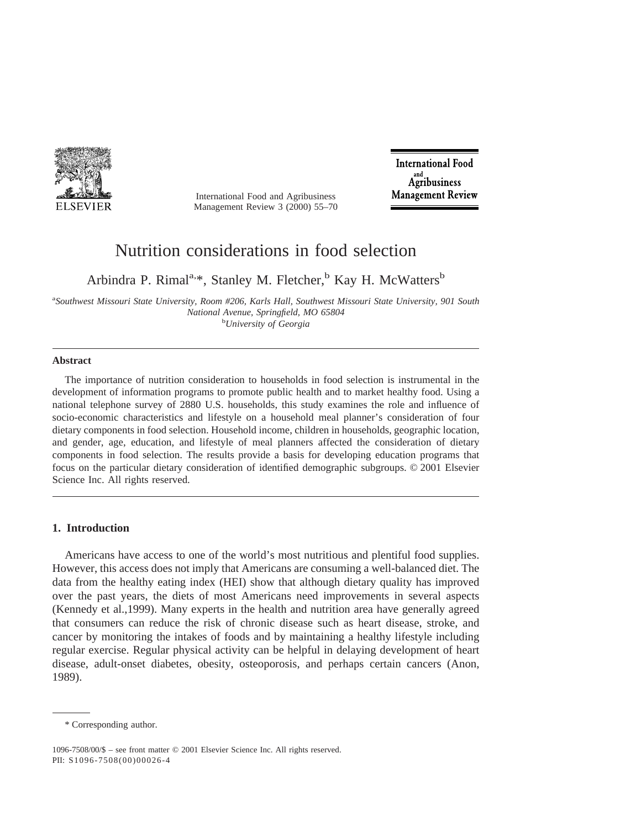

International Food and Agribusiness Management Review 3 (2000) 55–70

**International Food** Agribusiness **Management Review** 

# Nutrition considerations in food selection

Arbindra P. Rimal<sup>a,\*</sup>, Stanley M. Fletcher,<sup>b</sup> Kay H. McWatters<sup>b</sup>

a *Southwest Missouri State University, Room #206, Karls Hall, Southwest Missouri State University, 901 South National Avenue, Springfield, MO 65804* <sup>b</sup> *University of Georgia*

#### **Abstract**

The importance of nutrition consideration to households in food selection is instrumental in the development of information programs to promote public health and to market healthy food. Using a national telephone survey of 2880 U.S. households, this study examines the role and influence of socio-economic characteristics and lifestyle on a household meal planner's consideration of four dietary components in food selection. Household income, children in households, geographic location, and gender, age, education, and lifestyle of meal planners affected the consideration of dietary components in food selection. The results provide a basis for developing education programs that focus on the particular dietary consideration of identified demographic subgroups. © 2001 Elsevier Science Inc. All rights reserved.

## **1. Introduction**

Americans have access to one of the world's most nutritious and plentiful food supplies. However, this access does not imply that Americans are consuming a well-balanced diet. The data from the healthy eating index (HEI) show that although dietary quality has improved over the past years, the diets of most Americans need improvements in several aspects (Kennedy et al.,1999). Many experts in the health and nutrition area have generally agreed that consumers can reduce the risk of chronic disease such as heart disease, stroke, and cancer by monitoring the intakes of foods and by maintaining a healthy lifestyle including regular exercise. Regular physical activity can be helpful in delaying development of heart disease, adult-onset diabetes, obesity, osteoporosis, and perhaps certain cancers (Anon, 1989).

<sup>\*</sup> Corresponding author.

<sup>1096-7508/00/\$ –</sup> see front matter © 2001 Elsevier Science Inc. All rights reserved. PII: S1096-7508(00)00026-4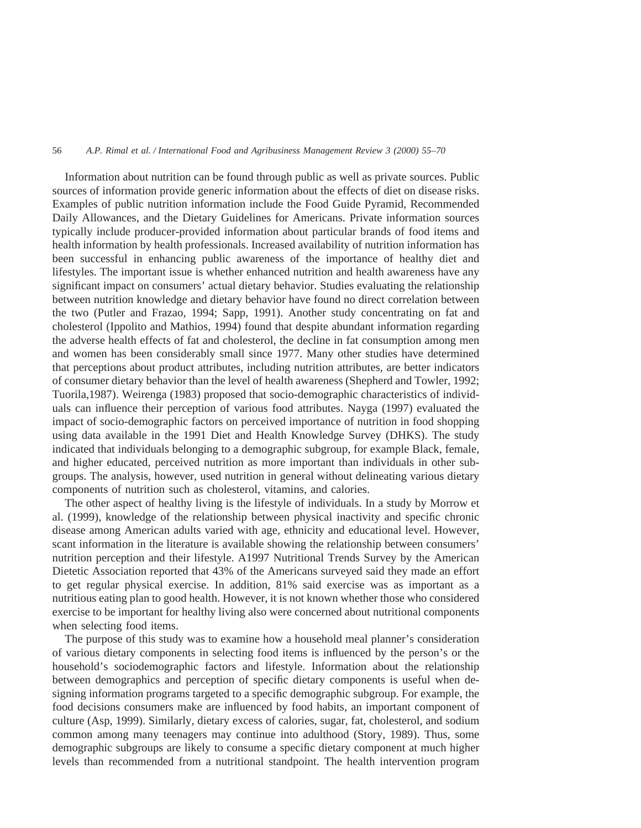#### 56 *A.P. Rimal et al. / International Food and Agribusiness Management Review 3 (2000) 55–70*

Information about nutrition can be found through public as well as private sources. Public sources of information provide generic information about the effects of diet on disease risks. Examples of public nutrition information include the Food Guide Pyramid, Recommended Daily Allowances, and the Dietary Guidelines for Americans. Private information sources typically include producer-provided information about particular brands of food items and health information by health professionals. Increased availability of nutrition information has been successful in enhancing public awareness of the importance of healthy diet and lifestyles. The important issue is whether enhanced nutrition and health awareness have any significant impact on consumers' actual dietary behavior. Studies evaluating the relationship between nutrition knowledge and dietary behavior have found no direct correlation between the two (Putler and Frazao, 1994; Sapp, 1991). Another study concentrating on fat and cholesterol (Ippolito and Mathios, 1994) found that despite abundant information regarding the adverse health effects of fat and cholesterol, the decline in fat consumption among men and women has been considerably small since 1977. Many other studies have determined that perceptions about product attributes, including nutrition attributes, are better indicators of consumer dietary behavior than the level of health awareness (Shepherd and Towler, 1992; Tuorila,1987). Weirenga (1983) proposed that socio-demographic characteristics of individuals can influence their perception of various food attributes. Nayga (1997) evaluated the impact of socio-demographic factors on perceived importance of nutrition in food shopping using data available in the 1991 Diet and Health Knowledge Survey (DHKS). The study indicated that individuals belonging to a demographic subgroup, for example Black, female, and higher educated, perceived nutrition as more important than individuals in other subgroups. The analysis, however, used nutrition in general without delineating various dietary components of nutrition such as cholesterol, vitamins, and calories.

The other aspect of healthy living is the lifestyle of individuals. In a study by Morrow et al. (1999), knowledge of the relationship between physical inactivity and specific chronic disease among American adults varied with age, ethnicity and educational level. However, scant information in the literature is available showing the relationship between consumers' nutrition perception and their lifestyle. A1997 Nutritional Trends Survey by the American Dietetic Association reported that 43% of the Americans surveyed said they made an effort to get regular physical exercise. In addition, 81% said exercise was as important as a nutritious eating plan to good health. However, it is not known whether those who considered exercise to be important for healthy living also were concerned about nutritional components when selecting food items.

The purpose of this study was to examine how a household meal planner's consideration of various dietary components in selecting food items is influenced by the person's or the household's sociodemographic factors and lifestyle. Information about the relationship between demographics and perception of specific dietary components is useful when designing information programs targeted to a specific demographic subgroup. For example, the food decisions consumers make are influenced by food habits, an important component of culture (Asp, 1999). Similarly, dietary excess of calories, sugar, fat, cholesterol, and sodium common among many teenagers may continue into adulthood (Story, 1989). Thus, some demographic subgroups are likely to consume a specific dietary component at much higher levels than recommended from a nutritional standpoint. The health intervention program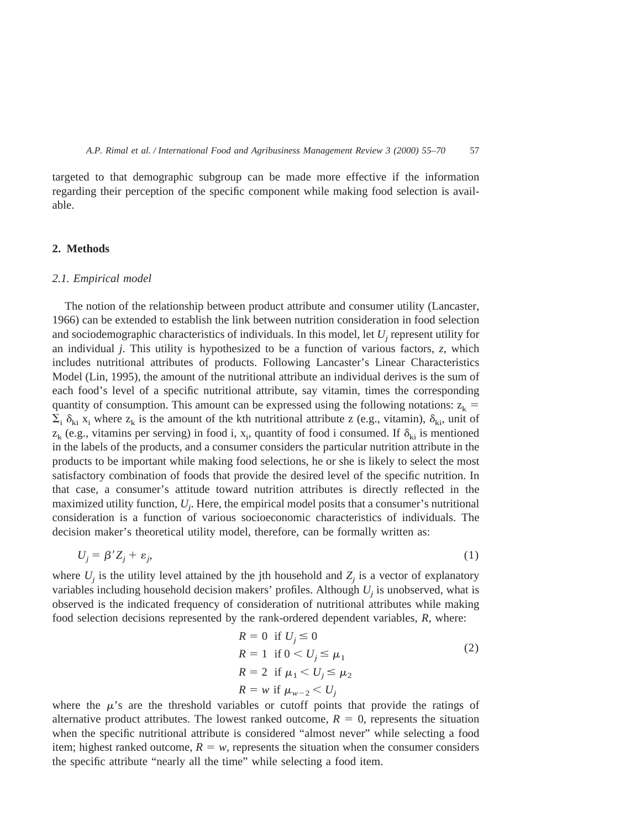targeted to that demographic subgroup can be made more effective if the information regarding their perception of the specific component while making food selection is available.

## **2. Methods**

#### *2.1. Empirical model*

The notion of the relationship between product attribute and consumer utility (Lancaster, 1966) can be extended to establish the link between nutrition consideration in food selection and sociodemographic characteristics of individuals. In this model, let *Uj* represent utility for an individual *j*. This utility is hypothesized to be a function of various factors, *z*, which includes nutritional attributes of products. Following Lancaster's Linear Characteristics Model (Lin, 1995), the amount of the nutritional attribute an individual derives is the sum of each food's level of a specific nutritional attribute, say vitamin, times the corresponding quantity of consumption. This amount can be expressed using the following notations:  $z_k$  =  $\Sigma_i$   $\delta_{ki}$  x<sub>i</sub> where  $z_k$  is the amount of the kth nutritional attribute z (e.g., vitamin),  $\delta_{ki}$ , unit of  $z_k$  (e.g., vitamins per serving) in food i,  $x_i$ , quantity of food i consumed. If  $\delta_{ki}$  is mentioned in the labels of the products, and a consumer considers the particular nutrition attribute in the products to be important while making food selections, he or she is likely to select the most satisfactory combination of foods that provide the desired level of the specific nutrition. In that case, a consumer's attitude toward nutrition attributes is directly reflected in the maximized utility function, *Uj* . Here, the empirical model posits that a consumer's nutritional consideration is a function of various socioeconomic characteristics of individuals. The decision maker's theoretical utility model, therefore, can be formally written as:

$$
U_j = \beta' Z_j + \varepsilon_j,\tag{1}
$$

where  $U_i$  is the utility level attained by the jth household and  $Z_i$  is a vector of explanatory variables including household decision makers' profiles. Although *Uj* is unobserved, what is observed is the indicated frequency of consideration of nutritional attributes while making food selection decisions represented by the rank-ordered dependent variables, *R*, where:

$$
R = 0 \text{ if } U_j \le 0
$$
  
\n
$$
R = 1 \text{ if } 0 < U_j \le \mu_1
$$
  
\n
$$
R = 2 \text{ if } \mu_1 < U_j \le \mu_2
$$
  
\n
$$
R = w \text{ if } \mu_{w-2} < U_j
$$
\n(2)

where the  $\mu$ 's are the threshold variables or cutoff points that provide the ratings of alternative product attributes. The lowest ranked outcome,  $R = 0$ , represents the situation when the specific nutritional attribute is considered "almost never" while selecting a food item; highest ranked outcome,  $R = w$ , represents the situation when the consumer considers the specific attribute "nearly all the time" while selecting a food item.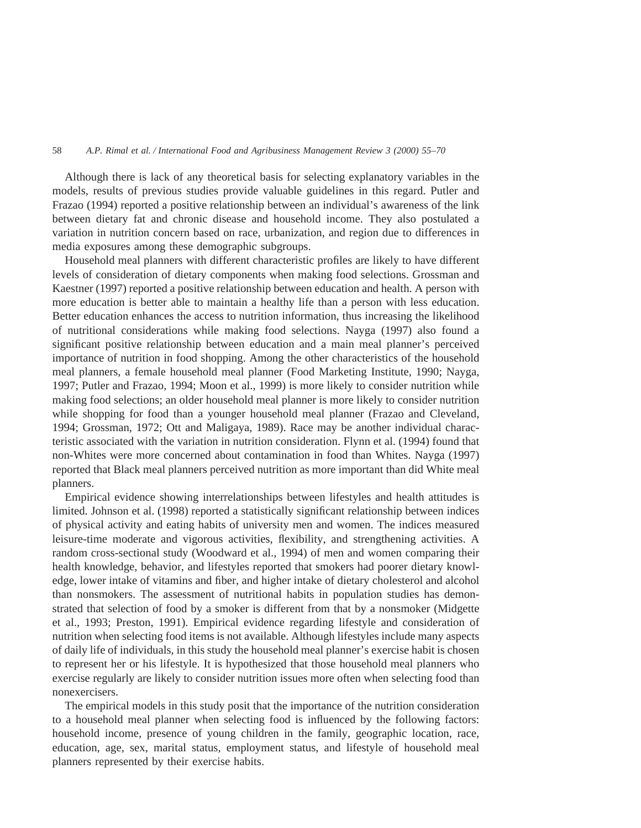58 *A.P. Rimal et al. / International Food and Agribusiness Management Review 3 (2000) 55–70*

Although there is lack of any theoretical basis for selecting explanatory variables in the models, results of previous studies provide valuable guidelines in this regard. Putler and Frazao (1994) reported a positive relationship between an individual's awareness of the link between dietary fat and chronic disease and household income. They also postulated a variation in nutrition concern based on race, urbanization, and region due to differences in media exposures among these demographic subgroups.

Household meal planners with different characteristic profiles are likely to have different levels of consideration of dietary components when making food selections. Grossman and Kaestner (1997) reported a positive relationship between education and health. A person with more education is better able to maintain a healthy life than a person with less education. Better education enhances the access to nutrition information, thus increasing the likelihood of nutritional considerations while making food selections. Nayga (1997) also found a significant positive relationship between education and a main meal planner's perceived importance of nutrition in food shopping. Among the other characteristics of the household meal planners, a female household meal planner (Food Marketing Institute, 1990; Nayga, 1997; Putler and Frazao, 1994; Moon et al., 1999) is more likely to consider nutrition while making food selections; an older household meal planner is more likely to consider nutrition while shopping for food than a younger household meal planner (Frazao and Cleveland, 1994; Grossman, 1972; Ott and Maligaya, 1989). Race may be another individual characteristic associated with the variation in nutrition consideration. Flynn et al. (1994) found that non-Whites were more concerned about contamination in food than Whites. Nayga (1997) reported that Black meal planners perceived nutrition as more important than did White meal planners.

Empirical evidence showing interrelationships between lifestyles and health attitudes is limited. Johnson et al. (1998) reported a statistically significant relationship between indices of physical activity and eating habits of university men and women. The indices measured leisure-time moderate and vigorous activities, flexibility, and strengthening activities. A random cross-sectional study (Woodward et al., 1994) of men and women comparing their health knowledge, behavior, and lifestyles reported that smokers had poorer dietary knowledge, lower intake of vitamins and fiber, and higher intake of dietary cholesterol and alcohol than nonsmokers. The assessment of nutritional habits in population studies has demonstrated that selection of food by a smoker is different from that by a nonsmoker (Midgette et al., 1993; Preston, 1991). Empirical evidence regarding lifestyle and consideration of nutrition when selecting food items is not available. Although lifestyles include many aspects of daily life of individuals, in this study the household meal planner's exercise habit is chosen to represent her or his lifestyle. It is hypothesized that those household meal planners who exercise regularly are likely to consider nutrition issues more often when selecting food than nonexercisers.

The empirical models in this study posit that the importance of the nutrition consideration to a household meal planner when selecting food is influenced by the following factors: household income, presence of young children in the family, geographic location, race, education, age, sex, marital status, employment status, and lifestyle of household meal planners represented by their exercise habits.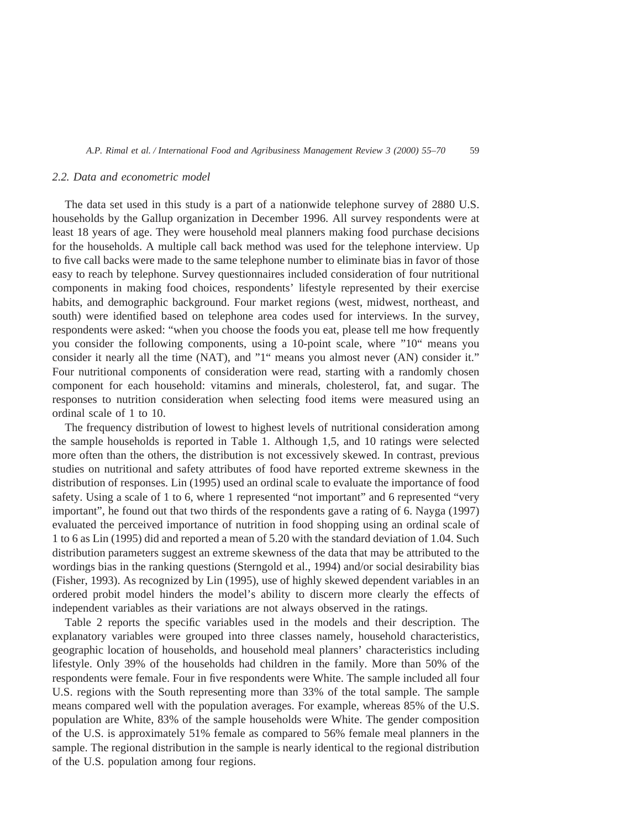## *2.2. Data and econometric model*

The data set used in this study is a part of a nationwide telephone survey of 2880 U.S. households by the Gallup organization in December 1996. All survey respondents were at least 18 years of age. They were household meal planners making food purchase decisions for the households. A multiple call back method was used for the telephone interview. Up to five call backs were made to the same telephone number to eliminate bias in favor of those easy to reach by telephone. Survey questionnaires included consideration of four nutritional components in making food choices, respondents' lifestyle represented by their exercise habits, and demographic background. Four market regions (west, midwest, northeast, and south) were identified based on telephone area codes used for interviews. In the survey, respondents were asked: "when you choose the foods you eat, please tell me how frequently you consider the following components, using a 10-point scale, where "10" means you consider it nearly all the time (NAT), and "1" means you almost never (AN) consider it." Four nutritional components of consideration were read, starting with a randomly chosen component for each household: vitamins and minerals, cholesterol, fat, and sugar. The responses to nutrition consideration when selecting food items were measured using an ordinal scale of 1 to 10.

The frequency distribution of lowest to highest levels of nutritional consideration among the sample households is reported in Table 1. Although 1,5, and 10 ratings were selected more often than the others, the distribution is not excessively skewed. In contrast, previous studies on nutritional and safety attributes of food have reported extreme skewness in the distribution of responses. Lin (1995) used an ordinal scale to evaluate the importance of food safety. Using a scale of 1 to 6, where 1 represented "not important" and 6 represented "very important", he found out that two thirds of the respondents gave a rating of 6. Nayga (1997) evaluated the perceived importance of nutrition in food shopping using an ordinal scale of 1 to 6 as Lin (1995) did and reported a mean of 5.20 with the standard deviation of 1.04. Such distribution parameters suggest an extreme skewness of the data that may be attributed to the wordings bias in the ranking questions (Sterngold et al., 1994) and/or social desirability bias (Fisher, 1993). As recognized by Lin (1995), use of highly skewed dependent variables in an ordered probit model hinders the model's ability to discern more clearly the effects of independent variables as their variations are not always observed in the ratings.

Table 2 reports the specific variables used in the models and their description. The explanatory variables were grouped into three classes namely, household characteristics, geographic location of households, and household meal planners' characteristics including lifestyle. Only 39% of the households had children in the family. More than 50% of the respondents were female. Four in five respondents were White. The sample included all four U.S. regions with the South representing more than 33% of the total sample. The sample means compared well with the population averages. For example, whereas 85% of the U.S. population are White, 83% of the sample households were White. The gender composition of the U.S. is approximately 51% female as compared to 56% female meal planners in the sample. The regional distribution in the sample is nearly identical to the regional distribution of the U.S. population among four regions.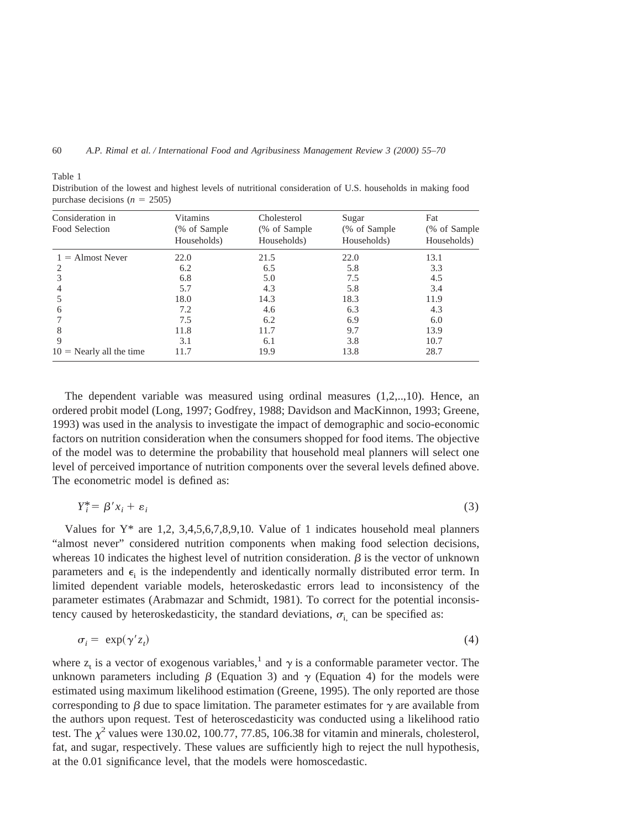| ٠<br>× | ٧<br>× |  |
|--------|--------|--|

Distribution of the lowest and highest levels of nutritional consideration of U.S. households in making food purchase decisions  $(n = 2505)$ 

| Consideration in<br>Food Selection | <b>Vitamins</b><br>(% of Sample)<br>Households) | Cholesterol<br>(% of Sample)<br>Households) | Sugar<br>(% of Sample)<br>Households) | Fat<br>(% of Sample<br>Households) |
|------------------------------------|-------------------------------------------------|---------------------------------------------|---------------------------------------|------------------------------------|
| $1 =$ Almost Never                 | 22.0                                            | 21.5                                        | 22.0                                  | 13.1                               |
| 2                                  | 6.2                                             | 6.5                                         | 5.8                                   | 3.3                                |
|                                    | 6.8                                             | 5.0                                         | 7.5                                   | 4.5                                |
|                                    | 5.7                                             | 4.3                                         | 5.8                                   | 3.4                                |
|                                    | 18.0                                            | 14.3                                        | 18.3                                  | 11.9                               |
| 6                                  | 7.2                                             | 4.6                                         | 6.3                                   | 4.3                                |
|                                    | 7.5                                             | 6.2                                         | 6.9                                   | 6.0                                |
| 8                                  | 11.8                                            | 11.7                                        | 9.7                                   | 13.9                               |
| 9                                  | 3.1                                             | 6.1                                         | 3.8                                   | 10.7                               |
| $10 =$ Nearly all the time         | 11.7                                            | 19.9                                        | 13.8                                  | 28.7                               |

The dependent variable was measured using ordinal measures (1,2,..,10). Hence, an ordered probit model (Long, 1997; Godfrey, 1988; Davidson and MacKinnon, 1993; Greene, 1993) was used in the analysis to investigate the impact of demographic and socio-economic factors on nutrition consideration when the consumers shopped for food items. The objective of the model was to determine the probability that household meal planners will select one level of perceived importance of nutrition components over the several levels defined above. The econometric model is defined as:

$$
Y_i^* = \beta' x_i + \varepsilon_i \tag{3}
$$

Values for  $Y^*$  are 1,2, 3,4,5,6,7,8,9,10. Value of 1 indicates household meal planners "almost never" considered nutrition components when making food selection decisions, whereas 10 indicates the highest level of nutrition consideration.  $\beta$  is the vector of unknown parameters and  $\epsilon_i$  is the independently and identically normally distributed error term. In limited dependent variable models, heteroskedastic errors lead to inconsistency of the parameter estimates (Arabmazar and Schmidt, 1981). To correct for the potential inconsistency caused by heteroskedasticity, the standard deviations,  $\sigma_i$  can be specified as:

$$
\sigma_i = \exp(\gamma' z_t) \tag{4}
$$

where  $z_t$  is a vector of exogenous variables,<sup>1</sup> and  $\gamma$  is a conformable parameter vector. The unknown parameters including  $\beta$  (Equation 3) and  $\gamma$  (Equation 4) for the models were estimated using maximum likelihood estimation (Greene, 1995). The only reported are those corresponding to  $\beta$  due to space limitation. The parameter estimates for  $\gamma$  are available from the authors upon request. Test of heteroscedasticity was conducted using a likelihood ratio test. The  $\chi^2$  values were 130.02, 100.77, 77.85, 106.38 for vitamin and minerals, cholesterol, fat, and sugar, respectively. These values are sufficiently high to reject the null hypothesis, at the 0.01 significance level, that the models were homoscedastic.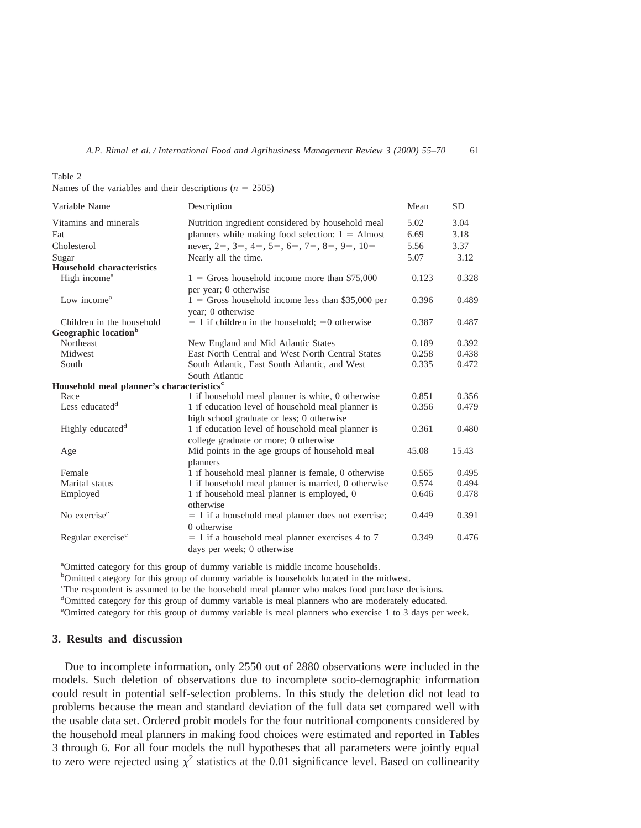Table 2

Names of the variables and their descriptions ( $n = 2505$ )

| Variable Name                                                 | Description                                                                                    | Mean  | <b>SD</b> |
|---------------------------------------------------------------|------------------------------------------------------------------------------------------------|-------|-----------|
| Vitamins and minerals                                         | Nutrition ingredient considered by household meal                                              | 5.02  | 3.04      |
| Fat                                                           | planners while making food selection: $1 =$ Almost                                             | 6.69  | 3.18      |
| Cholesterol                                                   | never, $2 = 3 = 3, 4 = 5, 5 = 5, 6 = 7, 7 = 8, 8 = 10$                                         | 5.56  | 3.37      |
| Sugar                                                         | Nearly all the time.                                                                           | 5.07  | 3.12      |
| <b>Household characteristics</b>                              |                                                                                                |       |           |
| High income <sup>a</sup>                                      | $1 =$ Gross household income more than \$75,000<br>per year; 0 otherwise                       | 0.123 | 0.328     |
| Low income <sup>a</sup>                                       | $1 =$ Gross household income less than \$35,000 per<br>year; 0 otherwise                       | 0.396 | 0.489     |
| Children in the household<br>Geographic location <sup>b</sup> | $= 1$ if children in the household; $= 0$ otherwise                                            | 0.387 | 0.487     |
| <b>Northeast</b>                                              | New England and Mid Atlantic States                                                            | 0.189 | 0.392     |
| Midwest                                                       | East North Central and West North Central States                                               | 0.258 | 0.438     |
| South                                                         | South Atlantic, East South Atlantic, and West                                                  | 0.335 | 0.472     |
| Household meal planner's characteristics <sup>c</sup>         | South Atlantic                                                                                 |       |           |
| Race                                                          | 1 if household meal planner is white, 0 otherwise                                              | 0.851 | 0.356     |
| Less educated <sup>d</sup>                                    | 1 if education level of household meal planner is<br>high school graduate or less; 0 otherwise | 0.356 | 0.479     |
| Highly educated <sup>d</sup>                                  | 1 if education level of household meal planner is<br>college graduate or more; 0 otherwise     | 0.361 | 0.480     |
| Age                                                           | Mid points in the age groups of household meal<br>planners                                     | 45.08 | 15.43     |
| Female                                                        | 1 if household meal planner is female, 0 otherwise                                             | 0.565 | 0.495     |
| Marital status                                                | 1 if household meal planner is married, 0 otherwise                                            | 0.574 | 0.494     |
| Employed                                                      | 1 if household meal planner is employed, 0<br>otherwise                                        | 0.646 | 0.478     |
| No exercise <sup>e</sup>                                      | $= 1$ if a household meal planner does not exercise;<br>0 otherwise                            | 0.449 | 0.391     |
| Regular exercise <sup>e</sup>                                 | $= 1$ if a household meal planner exercises 4 to 7<br>days per week; 0 otherwise               | 0.349 | 0.476     |

<sup>a</sup>Omitted category for this group of dummy variable is middle income households.

<sup>b</sup>Omitted category for this group of dummy variable is households located in the midwest.

<sup>c</sup>The respondent is assumed to be the household meal planner who makes food purchase decisions.

<sup>d</sup>Omitted category for this group of dummy variable is meal planners who are moderately educated.

e Omitted category for this group of dummy variable is meal planners who exercise 1 to 3 days per week.

## **3. Results and discussion**

Due to incomplete information, only 2550 out of 2880 observations were included in the models. Such deletion of observations due to incomplete socio-demographic information could result in potential self-selection problems. In this study the deletion did not lead to problems because the mean and standard deviation of the full data set compared well with the usable data set. Ordered probit models for the four nutritional components considered by the household meal planners in making food choices were estimated and reported in Tables 3 through 6. For all four models the null hypotheses that all parameters were jointly equal to zero were rejected using  $\chi^2$  statistics at the 0.01 significance level. Based on collinearity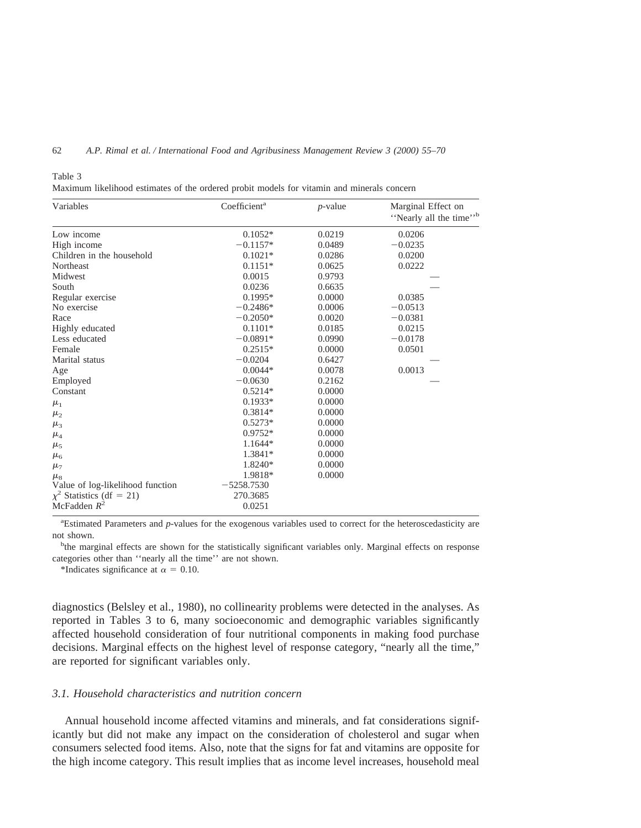|--|--|

Maximum likelihood estimates of the ordered probit models for vitamin and minerals concern

| Variables                        | Coefficient <sup>a</sup> | $p$ -value | Marginal Effect on    |
|----------------------------------|--------------------------|------------|-----------------------|
|                                  |                          |            | "Nearly all the time" |
| Low income                       | $0.1052*$                | 0.0219     | 0.0206                |
| High income                      | $-0.1157*$               | 0.0489     | $-0.0235$             |
| Children in the household        | $0.1021*$                | 0.0286     | 0.0200                |
| Northeast                        | $0.1151*$                | 0.0625     | 0.0222                |
| Midwest                          | 0.0015                   | 0.9793     |                       |
| South                            | 0.0236                   | 0.6635     |                       |
| Regular exercise                 | $0.1995*$                | 0.0000     | 0.0385                |
| No exercise                      | $-0.2486*$               | 0.0006     | $-0.0513$             |
| Race                             | $-0.2050*$               | 0.0020     | $-0.0381$             |
| Highly educated                  | $0.1101*$                | 0.0185     | 0.0215                |
| Less educated                    | $-0.0891*$               | 0.0990     | $-0.0178$             |
| Female                           | $0.2515*$                | 0.0000     | 0.0501                |
| Marital status                   | $-0.0204$                | 0.6427     |                       |
| Age                              | $0.0044*$                | 0.0078     | 0.0013                |
| Employed                         | $-0.0630$                | 0.2162     |                       |
| Constant                         | $0.5214*$                | 0.0000     |                       |
| $\mu_1$                          | $0.1933*$                | 0.0000     |                       |
| $\mu_2$                          | $0.3814*$                | 0.0000     |                       |
| $\mu_3$                          | $0.5273*$                | 0.0000     |                       |
| $\mu_4$                          | $0.9752*$                | 0.0000     |                       |
| $\mu_5$                          | $1.1644*$                | 0.0000     |                       |
| $\mu_6$                          | 1.3841*                  | 0.0000     |                       |
| $\mu_{7}$                        | 1.8240*                  | 0.0000     |                       |
| $\mu_{8}$                        | 1.9818*                  | 0.0000     |                       |
| Value of log-likelihood function | $-5258.7530$             |            |                       |
| $\chi^2$ Statistics (df = 21)    | 270.3685                 |            |                       |
| McFadden $R^2$                   | 0.0251                   |            |                       |

<sup>b</sup>the marginal effects are shown for the statistically significant variables only. Marginal effects on response categories other than ''nearly all the time'' are not shown.

\*Indicates significance at  $\alpha = 0.10$ .

diagnostics (Belsley et al., 1980), no collinearity problems were detected in the analyses. As reported in Tables 3 to 6, many socioeconomic and demographic variables significantly affected household consideration of four nutritional components in making food purchase decisions. Marginal effects on the highest level of response category, "nearly all the time," are reported for significant variables only.

## *3.1. Household characteristics and nutrition concern*

Annual household income affected vitamins and minerals, and fat considerations significantly but did not make any impact on the consideration of cholesterol and sugar when consumers selected food items. Also, note that the signs for fat and vitamins are opposite for the high income category. This result implies that as income level increases, household meal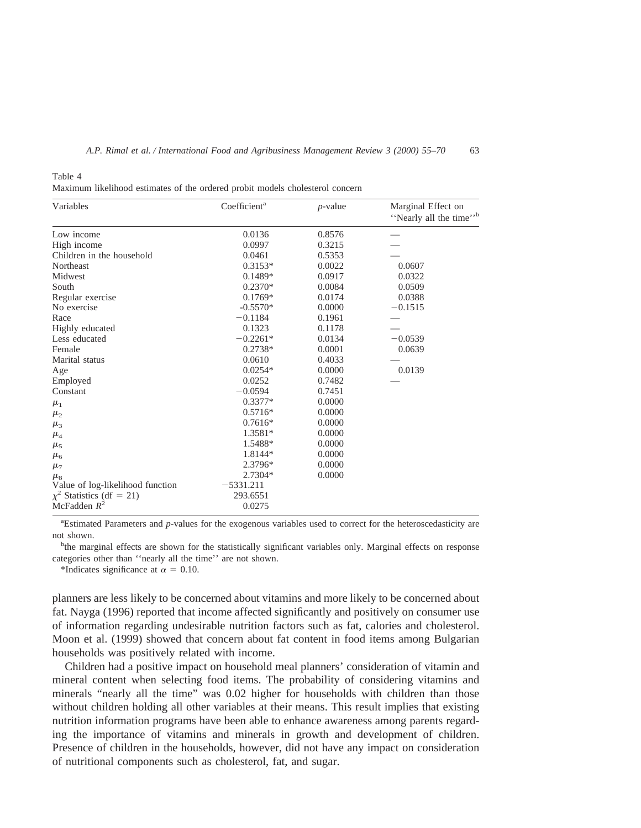Table 4

Maximum likelihood estimates of the ordered probit models cholesterol concern

| Variables                        | Coefficient <sup>a</sup> | $p$ -value | Marginal Effect on    |
|----------------------------------|--------------------------|------------|-----------------------|
|                                  |                          |            | "Nearly all the time" |
| Low income                       | 0.0136                   | 0.8576     |                       |
| High income                      | 0.0997                   | 0.3215     |                       |
| Children in the household        | 0.0461                   | 0.5353     |                       |
| Northeast                        | $0.3153*$                | 0.0022     | 0.0607                |
| Midwest                          | $0.1489*$                | 0.0917     | 0.0322                |
| South                            | $0.2370*$                | 0.0084     | 0.0509                |
| Regular exercise                 | $0.1769*$                | 0.0174     | 0.0388                |
| No exercise                      | $-0.5570*$               | 0.0000     | $-0.1515$             |
| Race                             | $-0.1184$                | 0.1961     |                       |
| Highly educated                  | 0.1323                   | 0.1178     |                       |
| Less educated                    | $-0.2261*$               | 0.0134     | $-0.0539$             |
| Female                           | $0.2738*$                | 0.0001     | 0.0639                |
| Marital status                   | 0.0610                   | 0.4033     |                       |
| Age                              | $0.0254*$                | 0.0000     | 0.0139                |
| Employed                         | 0.0252                   | 0.7482     |                       |
| Constant                         | $-0.0594$                | 0.7451     |                       |
| $\mu_1$                          | $0.3377*$                | 0.0000     |                       |
| $\mu_2$                          | $0.5716*$                | 0.0000     |                       |
| $\mu_3$                          | $0.7616*$                | 0.0000     |                       |
| $\mu_4$                          | 1.3581*                  | 0.0000     |                       |
| $\mu_5$                          | 1.5488*                  | 0.0000     |                       |
| $\mu_{6}$                        | 1.8144*                  | 0.0000     |                       |
| $\mu_{7}$                        | 2.3796*                  | 0.0000     |                       |
| $\mu_{8}$                        | 2.7304*                  | 0.0000     |                       |
| Value of log-likelihood function | $-5331.211$              |            |                       |
| $\chi^2$ Statistics (df = 21)    | 293.6551                 |            |                       |
| McFadden $R^2$                   | 0.0275                   |            |                       |

<sup>b</sup>the marginal effects are shown for the statistically significant variables only. Marginal effects on response categories other than ''nearly all the time'' are not shown.

\*Indicates significance at  $\alpha = 0.10$ .

planners are less likely to be concerned about vitamins and more likely to be concerned about fat. Nayga (1996) reported that income affected significantly and positively on consumer use of information regarding undesirable nutrition factors such as fat, calories and cholesterol. Moon et al. (1999) showed that concern about fat content in food items among Bulgarian households was positively related with income.

Children had a positive impact on household meal planners' consideration of vitamin and mineral content when selecting food items. The probability of considering vitamins and minerals "nearly all the time" was 0.02 higher for households with children than those without children holding all other variables at their means. This result implies that existing nutrition information programs have been able to enhance awareness among parents regarding the importance of vitamins and minerals in growth and development of children. Presence of children in the households, however, did not have any impact on consideration of nutritional components such as cholesterol, fat, and sugar.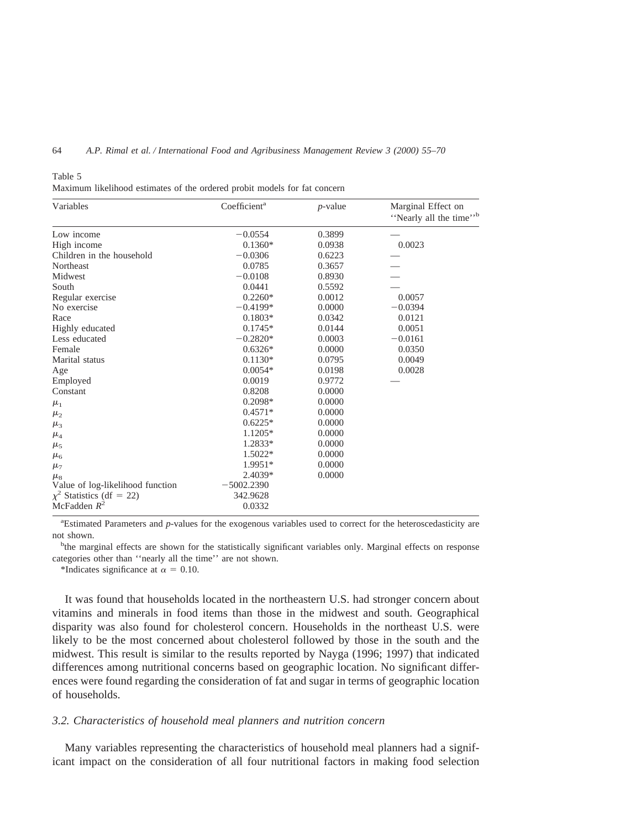|--|--|

Maximum likelihood estimates of the ordered probit models for fat concern

| Variables                        | Coefficient <sup>a</sup> | $p$ -value | Marginal Effect on<br>"Nearly all the time" |
|----------------------------------|--------------------------|------------|---------------------------------------------|
| Low income                       | $-0.0554$                | 0.3899     |                                             |
| High income                      | $0.1360*$                | 0.0938     | 0.0023                                      |
| Children in the household        | $-0.0306$                | 0.6223     |                                             |
| Northeast                        | 0.0785                   | 0.3657     |                                             |
| Midwest                          | $-0.0108$                | 0.8930     |                                             |
| South                            | 0.0441                   | 0.5592     |                                             |
| Regular exercise                 | $0.2260*$                | 0.0012     | 0.0057                                      |
| No exercise                      | $-0.4199*$               | 0.0000     | $-0.0394$                                   |
| Race                             | $0.1803*$                | 0.0342     | 0.0121                                      |
| Highly educated                  | $0.1745*$                | 0.0144     | 0.0051                                      |
| Less educated                    | $-0.2820*$               | 0.0003     | $-0.0161$                                   |
| Female                           | $0.6326*$                | 0.0000     | 0.0350                                      |
| Marital status                   | $0.1130*$                | 0.0795     | 0.0049                                      |
| Age                              | $0.0054*$                | 0.0198     | 0.0028                                      |
| Employed                         | 0.0019                   | 0.9772     |                                             |
| Constant                         | 0.8208                   | 0.0000     |                                             |
| $\mu_1$                          | $0.2098*$                | 0.0000     |                                             |
| $\mu_2$                          | $0.4571*$                | 0.0000     |                                             |
| $\mu_3$                          | $0.6225*$                | 0.0000     |                                             |
| $\mu_4$                          | 1.1205*                  | 0.0000     |                                             |
| $\mu_5$                          | 1.2833*                  | 0.0000     |                                             |
| $\mu_{6}$                        | $1.5022*$                | 0.0000     |                                             |
| $\mu_{7}$                        | 1.9951*                  | 0.0000     |                                             |
| $\mu_{8}$                        | 2.4039*                  | 0.0000     |                                             |
| Value of log-likelihood function | $-5002.2390$             |            |                                             |
| $\chi^2$ Statistics (df = 22)    | 342.9628                 |            |                                             |
| McFadden $R^2$                   | 0.0332                   |            |                                             |

<sup>b</sup>the marginal effects are shown for the statistically significant variables only. Marginal effects on response categories other than ''nearly all the time'' are not shown.

\*Indicates significance at  $\alpha = 0.10$ .

It was found that households located in the northeastern U.S. had stronger concern about vitamins and minerals in food items than those in the midwest and south. Geographical disparity was also found for cholesterol concern. Households in the northeast U.S. were likely to be the most concerned about cholesterol followed by those in the south and the midwest. This result is similar to the results reported by Nayga (1996; 1997) that indicated differences among nutritional concerns based on geographic location. No significant differences were found regarding the consideration of fat and sugar in terms of geographic location of households.

## *3.2. Characteristics of household meal planners and nutrition concern*

Many variables representing the characteristics of household meal planners had a significant impact on the consideration of all four nutritional factors in making food selection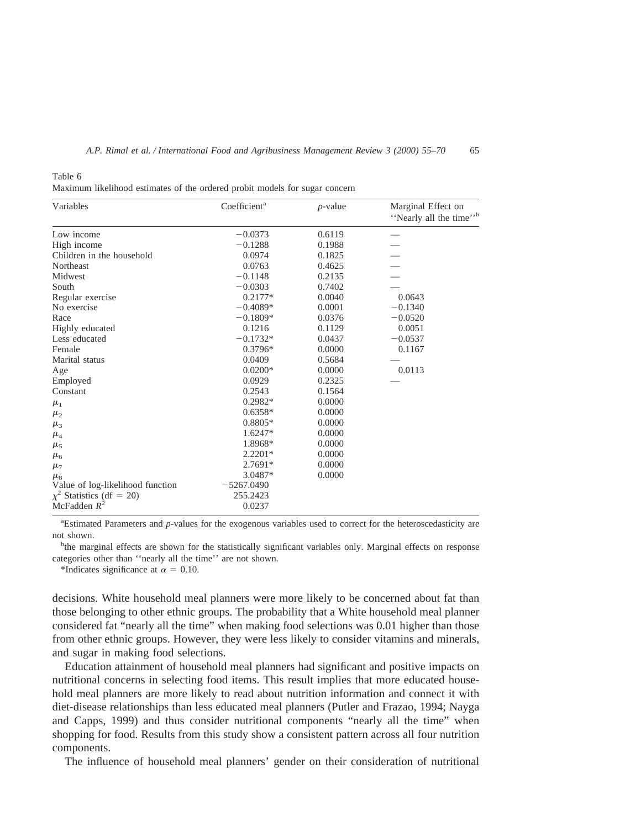Table 6

Maximum likelihood estimates of the ordered probit models for sugar concern

| Variables                        | Coefficient <sup>a</sup> | $p$ -value | Marginal Effect on                 |
|----------------------------------|--------------------------|------------|------------------------------------|
|                                  |                          |            | "Nearly all the time" <sup>b</sup> |
| Low income                       | $-0.0373$                | 0.6119     |                                    |
| High income                      | $-0.1288$                | 0.1988     |                                    |
| Children in the household        | 0.0974                   | 0.1825     |                                    |
| Northeast                        | 0.0763                   | 0.4625     |                                    |
| Midwest                          | $-0.1148$                | 0.2135     |                                    |
| South                            | $-0.0303$                | 0.7402     |                                    |
| Regular exercise                 | $0.2177*$                | 0.0040     | 0.0643                             |
| No exercise                      | $-0.4089*$               | 0.0001     | $-0.1340$                          |
| Race                             | $-0.1809*$               | 0.0376     | $-0.0520$                          |
| Highly educated                  | 0.1216                   | 0.1129     | 0.0051                             |
| Less educated                    | $-0.1732*$               | 0.0437     | $-0.0537$                          |
| Female                           | 0.3796*                  | 0.0000     | 0.1167                             |
| Marital status                   | 0.0409                   | 0.5684     |                                    |
| Age                              | $0.0200*$                | 0.0000     | 0.0113                             |
| Employed                         | 0.0929                   | 0.2325     |                                    |
| Constant                         | 0.2543                   | 0.1564     |                                    |
| $\mu_1$                          | $0.2982*$                | 0.0000     |                                    |
| $\mu_2$                          | $0.6358*$                | 0.0000     |                                    |
| $\mu_3$                          | $0.8805*$                | 0.0000     |                                    |
| $\mu_4$                          | 1.6247*                  | 0.0000     |                                    |
| $\mu_5$                          | 1.8968*                  | 0.0000     |                                    |
| $\mu_6$                          | $2.2201*$                | 0.0000     |                                    |
| $\mu_{7}$                        | 2.7691*                  | 0.0000     |                                    |
| $\mu_8$                          | 3.0487*                  | 0.0000     |                                    |
| Value of log-likelihood function | $-5267.0490$             |            |                                    |
| $\chi^2$ Statistics (df = 20)    | 255.2423                 |            |                                    |
| McFadden $R^2$                   | 0.0237                   |            |                                    |

<sup>b</sup>the marginal effects are shown for the statistically significant variables only. Marginal effects on response categories other than ''nearly all the time'' are not shown.

\*Indicates significance at  $\alpha = 0.10$ .

decisions. White household meal planners were more likely to be concerned about fat than those belonging to other ethnic groups. The probability that a White household meal planner considered fat "nearly all the time" when making food selections was 0.01 higher than those from other ethnic groups. However, they were less likely to consider vitamins and minerals, and sugar in making food selections.

Education attainment of household meal planners had significant and positive impacts on nutritional concerns in selecting food items. This result implies that more educated household meal planners are more likely to read about nutrition information and connect it with diet-disease relationships than less educated meal planners (Putler and Frazao, 1994; Nayga and Capps, 1999) and thus consider nutritional components "nearly all the time" when shopping for food. Results from this study show a consistent pattern across all four nutrition components.

The influence of household meal planners' gender on their consideration of nutritional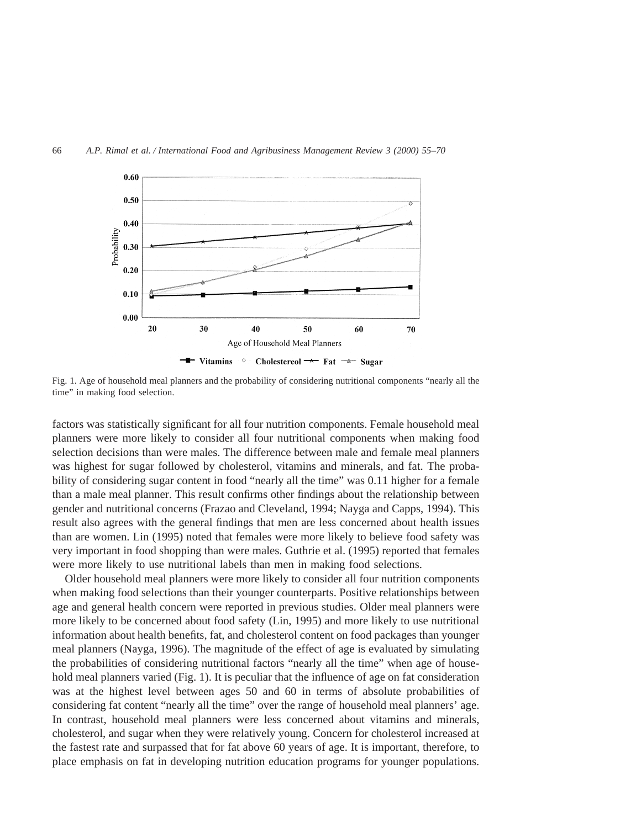

Fig. 1. Age of household meal planners and the probability of considering nutritional components "nearly all the time" in making food selection.

factors was statistically significant for all four nutrition components. Female household meal planners were more likely to consider all four nutritional components when making food selection decisions than were males. The difference between male and female meal planners was highest for sugar followed by cholesterol, vitamins and minerals, and fat. The probability of considering sugar content in food "nearly all the time" was 0.11 higher for a female than a male meal planner. This result confirms other findings about the relationship between gender and nutritional concerns (Frazao and Cleveland, 1994; Nayga and Capps, 1994). This result also agrees with the general findings that men are less concerned about health issues than are women. Lin (1995) noted that females were more likely to believe food safety was very important in food shopping than were males. Guthrie et al. (1995) reported that females were more likely to use nutritional labels than men in making food selections.

Older household meal planners were more likely to consider all four nutrition components when making food selections than their younger counterparts. Positive relationships between age and general health concern were reported in previous studies. Older meal planners were more likely to be concerned about food safety (Lin, 1995) and more likely to use nutritional information about health benefits, fat, and cholesterol content on food packages than younger meal planners (Nayga, 1996). The magnitude of the effect of age is evaluated by simulating the probabilities of considering nutritional factors "nearly all the time" when age of household meal planners varied (Fig. 1). It is peculiar that the influence of age on fat consideration was at the highest level between ages 50 and 60 in terms of absolute probabilities of considering fat content "nearly all the time" over the range of household meal planners' age. In contrast, household meal planners were less concerned about vitamins and minerals, cholesterol, and sugar when they were relatively young. Concern for cholesterol increased at the fastest rate and surpassed that for fat above 60 years of age. It is important, therefore, to place emphasis on fat in developing nutrition education programs for younger populations.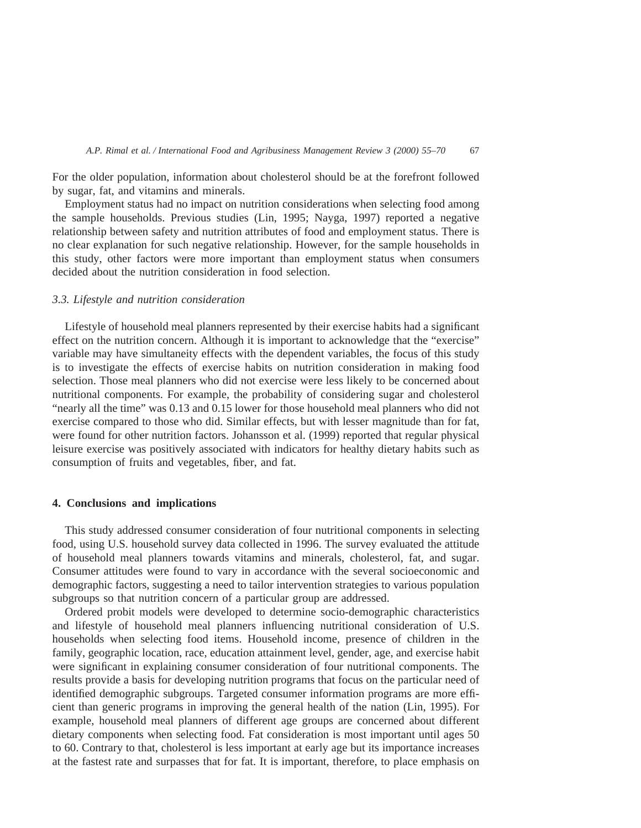For the older population, information about cholesterol should be at the forefront followed by sugar, fat, and vitamins and minerals.

Employment status had no impact on nutrition considerations when selecting food among the sample households. Previous studies (Lin, 1995; Nayga, 1997) reported a negative relationship between safety and nutrition attributes of food and employment status. There is no clear explanation for such negative relationship. However, for the sample households in this study, other factors were more important than employment status when consumers decided about the nutrition consideration in food selection.

#### *3.3. Lifestyle and nutrition consideration*

Lifestyle of household meal planners represented by their exercise habits had a significant effect on the nutrition concern. Although it is important to acknowledge that the "exercise" variable may have simultaneity effects with the dependent variables, the focus of this study is to investigate the effects of exercise habits on nutrition consideration in making food selection. Those meal planners who did not exercise were less likely to be concerned about nutritional components. For example, the probability of considering sugar and cholesterol "nearly all the time" was 0.13 and 0.15 lower for those household meal planners who did not exercise compared to those who did. Similar effects, but with lesser magnitude than for fat, were found for other nutrition factors. Johansson et al. (1999) reported that regular physical leisure exercise was positively associated with indicators for healthy dietary habits such as consumption of fruits and vegetables, fiber, and fat.

## **4. Conclusions and implications**

This study addressed consumer consideration of four nutritional components in selecting food, using U.S. household survey data collected in 1996. The survey evaluated the attitude of household meal planners towards vitamins and minerals, cholesterol, fat, and sugar. Consumer attitudes were found to vary in accordance with the several socioeconomic and demographic factors, suggesting a need to tailor intervention strategies to various population subgroups so that nutrition concern of a particular group are addressed.

Ordered probit models were developed to determine socio-demographic characteristics and lifestyle of household meal planners influencing nutritional consideration of U.S. households when selecting food items. Household income, presence of children in the family, geographic location, race, education attainment level, gender, age, and exercise habit were significant in explaining consumer consideration of four nutritional components. The results provide a basis for developing nutrition programs that focus on the particular need of identified demographic subgroups. Targeted consumer information programs are more efficient than generic programs in improving the general health of the nation (Lin, 1995). For example, household meal planners of different age groups are concerned about different dietary components when selecting food. Fat consideration is most important until ages 50 to 60. Contrary to that, cholesterol is less important at early age but its importance increases at the fastest rate and surpasses that for fat. It is important, therefore, to place emphasis on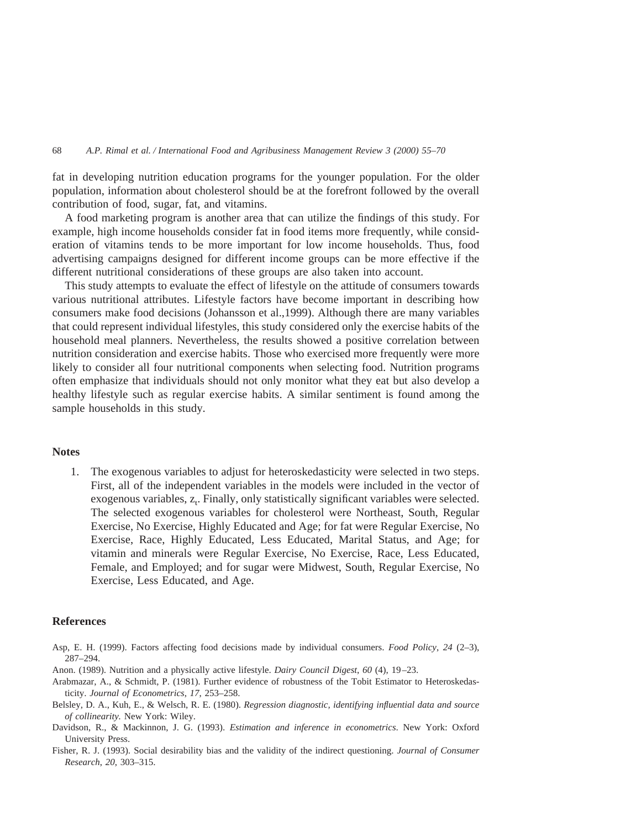fat in developing nutrition education programs for the younger population. For the older population, information about cholesterol should be at the forefront followed by the overall contribution of food, sugar, fat, and vitamins.

A food marketing program is another area that can utilize the findings of this study. For example, high income households consider fat in food items more frequently, while consideration of vitamins tends to be more important for low income households. Thus, food advertising campaigns designed for different income groups can be more effective if the different nutritional considerations of these groups are also taken into account.

This study attempts to evaluate the effect of lifestyle on the attitude of consumers towards various nutritional attributes. Lifestyle factors have become important in describing how consumers make food decisions (Johansson et al.,1999). Although there are many variables that could represent individual lifestyles, this study considered only the exercise habits of the household meal planners. Nevertheless, the results showed a positive correlation between nutrition consideration and exercise habits. Those who exercised more frequently were more likely to consider all four nutritional components when selecting food. Nutrition programs often emphasize that individuals should not only monitor what they eat but also develop a healthy lifestyle such as regular exercise habits. A similar sentiment is found among the sample households in this study.

## **Notes**

1. The exogenous variables to adjust for heteroskedasticity were selected in two steps. First, all of the independent variables in the models were included in the vector of exogenous variables, z<sub>t</sub>. Finally, only statistically significant variables were selected. The selected exogenous variables for cholesterol were Northeast, South, Regular Exercise, No Exercise, Highly Educated and Age; for fat were Regular Exercise, No Exercise, Race, Highly Educated, Less Educated, Marital Status, and Age; for vitamin and minerals were Regular Exercise, No Exercise, Race, Less Educated, Female, and Employed; and for sugar were Midwest, South, Regular Exercise, No Exercise, Less Educated, and Age.

## **References**

Asp, E. H. (1999). Factors affecting food decisions made by individual consumers. *Food Policy*, *24* (2–3), 287–294.

Anon. (1989). Nutrition and a physically active lifestyle. *Dairy Council Digest*, *60* (4), 19–23.

- Arabmazar, A., & Schmidt, P. (1981). Further evidence of robustness of the Tobit Estimator to Heteroskedasticity. *Journal of Econometrics*, *17*, 253–258.
- Belsley, D. A., Kuh, E., & Welsch, R. E. (1980). *Regression diagnostic, identifying influential data and source of collinearity.* New York: Wiley.
- Davidson, R., & Mackinnon, J. G. (1993). *Estimation and inference in econometrics*. New York: Oxford University Press.
- Fisher, R. J. (1993). Social desirability bias and the validity of the indirect questioning. *Journal of Consumer Research*, *20*, 303–315.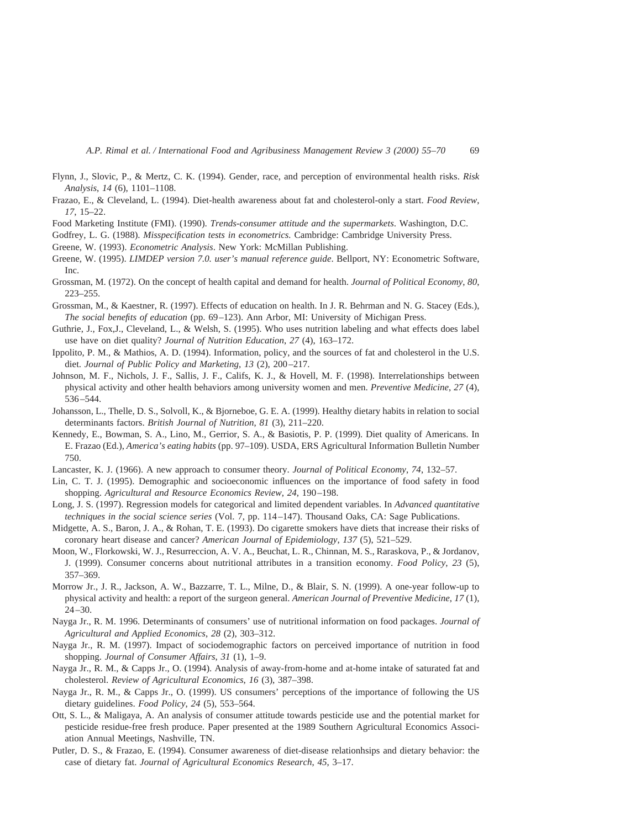- Flynn, J., Slovic, P., & Mertz, C. K. (1994). Gender, race, and perception of environmental health risks. *Risk Analysis*, *14* (6), 1101–1108.
- Frazao, E., & Cleveland, L. (1994). Diet-health awareness about fat and cholesterol-only a start. *Food Review*, *17*, 15–22.
- Food Marketing Institute (FMI). (1990). *Trends-consumer attitude and the supermarkets*. Washington, D.C.
- Godfrey, L. G. (1988). *Misspecification tests in econometrics.* Cambridge: Cambridge University Press.
- Greene, W. (1993). *Econometric Analysis*. New York: McMillan Publishing.
- Greene, W. (1995). *LIMDEP version 7.0. user's manual reference guide*. Bellport, NY: Econometric Software, Inc.
- Grossman, M. (1972). On the concept of health capital and demand for health. *Journal of Political Economy*, *80*, 223–255.
- Grossman, M., & Kaestner, R. (1997). Effects of education on health. In J. R. Behrman and N. G. Stacey (Eds.), *The social benefits of education* (pp. 69–123). Ann Arbor, MI: University of Michigan Press.
- Guthrie, J., Fox,J., Cleveland, L., & Welsh, S. (1995). Who uses nutrition labeling and what effects does label use have on diet quality? *Journal of Nutrition Education*, *27* (4), 163–172.
- Ippolito, P. M., & Mathios, A. D. (1994). Information, policy, and the sources of fat and cholesterol in the U.S. diet. *Journal of Public Policy and Marketing, 13* (2), 200–217.
- Johnson, M. F., Nichols, J. F., Sallis, J. F., Califs, K. J., & Hovell, M. F. (1998). Interrelationships between physical activity and other health behaviors among university women and men. *Preventive Medicine*, *27* (4), 536–544.
- Johansson, L., Thelle, D. S., Solvoll, K., & Bjorneboe, G. E. A. (1999). Healthy dietary habits in relation to social determinants factors. *British Journal of Nutrition*, *81* (3), 211–220.
- Kennedy, E., Bowman, S. A., Lino, M., Gerrior, S. A., & Basiotis, P. P. (1999). Diet quality of Americans. In E. Frazao (Ed.), *America's eating habits* (pp. 97–109). USDA, ERS Agricultural Information Bulletin Number 750.
- Lancaster, K. J. (1966). A new approach to consumer theory. *Journal of Political Economy*, *74*, 132–57.
- Lin, C. T. J. (1995). Demographic and socioeconomic influences on the importance of food safety in food shopping. *Agricultural and Resource Economics Review*, *24*, 190–198.
- Long, J. S. (1997). Regression models for categorical and limited dependent variables. In *Advanced quantitative techniques in the social science series* (Vol. 7, pp. 114–147). Thousand Oaks, CA: Sage Publications.
- Midgette, A. S., Baron, J. A., & Rohan, T. E. (1993). Do cigarette smokers have diets that increase their risks of coronary heart disease and cancer? *American Journal of Epidemiology*, *137* (5), 521–529.
- Moon, W., Florkowski, W. J., Resurreccion, A. V. A., Beuchat, L. R., Chinnan, M. S., Raraskova, P., & Jordanov, J. (1999). Consumer concerns about nutritional attributes in a transition economy. *Food Policy*, *23* (5), 357–369.
- Morrow Jr., J. R., Jackson, A. W., Bazzarre, T. L., Milne, D., & Blair, S. N. (1999). A one-year follow-up to physical activity and health: a report of the surgeon general. *American Journal of Preventive Medicine*, *17* (1), 24–30.
- Nayga Jr., R. M. 1996. Determinants of consumers' use of nutritional information on food packages. *Journal of Agricultural and Applied Economics*, *28* (2), 303–312.
- Nayga Jr., R. M. (1997). Impact of sociodemographic factors on perceived importance of nutrition in food shopping. *Journal of Consumer Affairs*, *31* (1), 1–9.
- Nayga Jr., R. M., & Capps Jr., O. (1994). Analysis of away-from-home and at-home intake of saturated fat and cholesterol. *Review of Agricultural Economics*, *16* (3), 387–398.
- Nayga Jr., R. M., & Capps Jr., O. (1999). US consumers' perceptions of the importance of following the US dietary guidelines. *Food Policy*, *24* (5), 553–564.
- Ott, S. L., & Maligaya, A. An analysis of consumer attitude towards pesticide use and the potential market for pesticide residue-free fresh produce. Paper presented at the 1989 Southern Agricultural Economics Association Annual Meetings, Nashville, TN.
- Putler, D. S., & Frazao, E. (1994). Consumer awareness of diet-disease relationhsips and dietary behavior: the case of dietary fat. *Journal of Agricultural Economics Research*, *45*, 3–17.